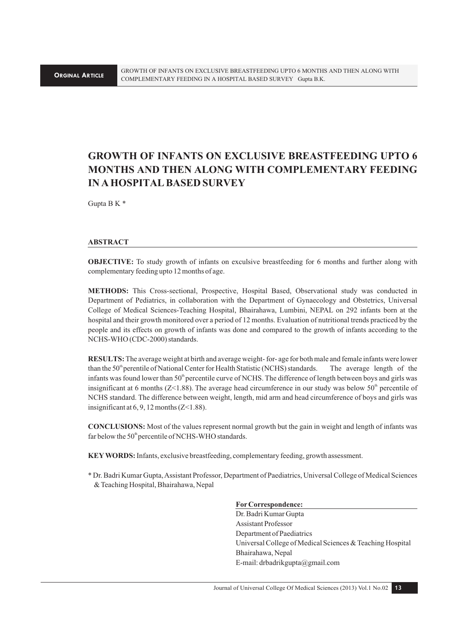# **GROWTH OF INFANTS ON EXCLUSIVE BREASTFEEDING UPTO 6 MONTHS AND THEN ALONG WITH COMPLEMENTARY FEEDING IN A HOSPITAL BASED SURVEY**

Gupta B K \*

#### **ABSTRACT**

**OBJECTIVE:** To study growth of infants on exculsive breastfeeding for 6 months and further along with complementary feeding upto 12 months of age.

**METHODS:** This Cross-sectional, Prospective, Hospital Based, Observational study was conducted in Department of Pediatrics, in collaboration with the Department of Gynaecology and Obstetrics, Universal College of Medical Sciences-Teaching Hospital, Bhairahawa, Lumbini, NEPAL on 292 infants born at the hospital and their growth monitored over a period of 12 months. Evaluation of nutritional trends practiced by the people and its effects on growth of infants was done and compared to the growth of infants according to the NCHS-WHO (CDC-2000) standards.

**RESULTS:** The average weight at birth and average weight- for- age for both male and female infants were lower than the 50<sup>th</sup> perentile of National Center for Health Statistic (NCHS) standards. The average length of the infants was found lower than  $50<sup>th</sup>$  percentile curve of NCHS. The difference of length between boys and girls was insignificant at 6 months ( $Z<1.88$ ). The average head circumference in our study was below  $50<sup>th</sup>$  percentile of NCHS standard. The difference between weight, length, mid arm and head circumference of boys and girls was insignificant at  $6, 9, 12$  months (Z<1.88).

**CONCLUSIONS:** Most of the values represent normal growth but the gain in weight and length of infants was far below the  $50<sup>th</sup>$  percentile of NCHS-WHO standards.

**KEY WORDS:** Infants, exclusive breastfeeding, complementary feeding, growth assessment.

\* Dr. Badri Kumar Gupta, Assistant Professor, Department of Paediatrics, Universal College of Medical Sciences & Teaching Hospital, Bhairahawa, Nepal

#### **For Correspondence:**

Dr. Badri Kumar Gupta Assistant Professor Department of Paediatrics Universal College of Medical Sciences & Teaching Hospital Bhairahawa, Nepal E-mail: drbadrikgupta@gmail.com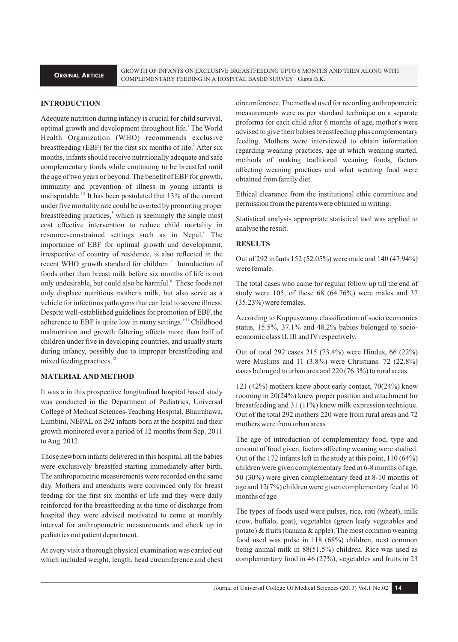GROWTH OF INFANTS ON EXCLUSIVE BREASTFEEDING UPTO 6 MONTHS AND THEN ALONG WITH COMPLEMENTARY FEEDING IN A HOSPITAL BASED SURVEY Gupta B.K.

## **INTRODUCTION**

Adequate nutrition during infancy is crucial for child survival, optimal growth and development throughout life.<sup>1</sup> The World Health Organization (WHO) recommends exclusive breastfeeding (EBF) for the first six months of life.<sup>2</sup> After six months, infants should receive nutritionally adequate and safe complementary foods while continuing to be breastfed until the age of two years or beyond. The benefit of EBF for growth, immunity and prevention of illness in young infants is undisputable.<sup>3,4</sup> It has been postulated that  $13\%$  of the current under five mortality rate could be averted by promoting proper breastfeeding practices,<sup>5</sup> which is seemingly the single most cost effective intervention to reduce child mortality in resource-constrained settings such as in Nepal.<sup>6</sup> The importance of EBF for optimal growth and development, irrespective of country of residence, is also reflected in the recent WHO growth standard for children.<sup>7</sup> Introduction of foods other than breast milk before six months of life is not only undesirable, but could also be harmful.<sup>8</sup> These foods not only displace nutritious mother's milk, but also serve as a vehicle for infectious pathogens that can lead to severe illness. Despite well-established guidelines for promotion of EBF, the adherence to EBF is quite low in many settings.<sup>9-11</sup> Childhood malnutrition and growth faltering affects more than half of children under five in developing countries, and usually starts during infancy, possibly due to improper breastfeeding and mixed feeding practices. $12$ 

#### **MATERIAL AND METHOD**

It was a in this prospective longitudinal hospital based study was conducted in the Department of Pediatrics, Universal College of Medical Sciences-Teaching Hospital, Bhairahawa, Lumbini, NEPAL on 292 infants born at the hospital and their growth monitored over a period of 12 months from Sep. 2011 to Aug. 2012.

Those newborn infants delivered in this hospital, all the babies were exclusively breastfed starting immediately after birth. The anthropometric measurements were recorded on the same day. Mothers and attendants were convinced only for breast feeding for the first six months of life and they were daily reinforced for the breastfeeding at the time of discharge from hospital they were advised motivated to come at monthly interval for anthropometric measurements and check up in pediatrics out patient department.

At every visit a thorough physical examination was carried out which included weight, length, head circumference and chest

circumference. The method used for recording anthropometric measurements were as per standard technique on a separate proforma for each child after 6 months of age, mother's were advised to give their babies breastfeeding plus complementary feeding. Mothers were interviewed to obtain information regarding weaning practices, age at which weaning started, methods of making traditional weaning foods, factors affecting weaning practices and what weaning food were obtained from family diet.

Ethical clearance from the institutional ethic committee and permission from the parents were obtained in writing.

Statistical analysis appropriate statistical tool was applied to analyse the result.

#### **RESULTS**

Out of 292 infants 152 (52.05%) were male and 140 (47.94%) were female.

The total cases who came for regular follow up till the end of study were 105, of these 68 (64.76%) were males and 37 (35.23%) were females.

According to Kuppuswamy classification of socio economics status, 15.5%, 37.1% and 48.2% babies belonged to socioeconomic class II, III and IV respectively.

Out of total 292 cases 215 (73.4%) were Hindus, 66 (22%) were Muslims and 11 (3.8%) were Christians. 72 (22.8%) cases belonged to urban area and 220 (76.3%) to rural areas.

121 (42%) mothers knew about early contact, 70(24%) knew rooming in 20(24%) knew proper position and attachment for breastfeeding and 31 (11%) knew milk expression technique. Out of the total 292 mothers 220 were from rural areas and 72 mothers were from urban areas

The age of introduction of complementary food, type and amount of food given, factors affecting weaning were studied. Out of the 172 infants left in the study at this point, 110 (64%) children were given complementary feed at 6-8 months of age, 50 (30%) were given complementary feed at 8-10 months of age and 12(7%) children were given complementary feed at 10 months of age

The types of foods used were pulses, rice, roti (wheat), milk (cow, buffalo, goat), vegetables (green leafy vegetables and potato) & fruits (banana & apple). The most common weaning food used was pulse in 118 (68%) children, next common being animal milk in 88(51.5%) children. Rice was used as complementary food in 46 (27%), vegetables and fruits in 23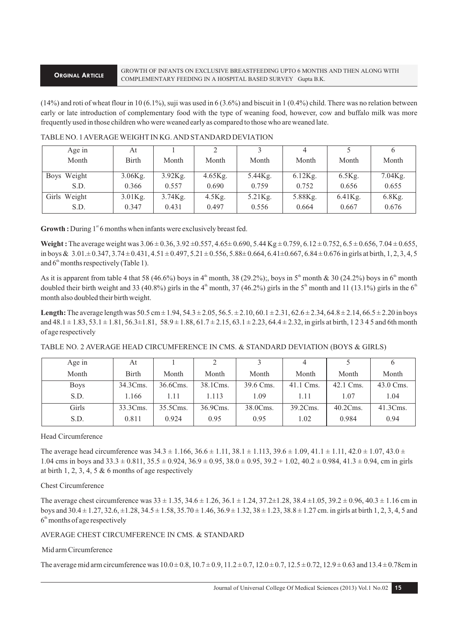$(14%)$  and roti of wheat flour in 10 (6.1%), suji was used in 6 (3.6%) and biscuit in 1 (0.4%) child. There was no relation between early or late introduction of complementary food with the type of weaning food, however, cow and buffalo milk was more frequently used in those children who were weaned early as compared to those who are weaned late.

| Age in       | At      |            |            |         | 4          |            |           |
|--------------|---------|------------|------------|---------|------------|------------|-----------|
| Month        | Birth   | Month      | Month      | Month   | Month      | Month      | Month     |
| Boys Weight  | 3.06Kg. | 3.92Kg.    | $4.65$ Kg. | 5.44Kg. | $6.12$ Kg. | $6.5$ Kg.  | 7.04Kg.   |
| S.D.         | 0.366   | 0.557      | 0.690      | 0.759   | 0.752      | 0.656      | 0.655     |
| Girls Weight | 3.01Kg. | $3.74$ Kg. | $4.5$ Kg.  | 5.21Kg. | 5.88Kg.    | $6.41$ Kg. | $6.8$ Kg. |
| S.D.         | 0.347   | 0.431      | 0.497      | 0.556   | 0.664      | 0.667      | 0.676     |

# TABLE NO. 1 AVERAGE WEIGHT IN KG. AND STANDARD DEVIATION

**Growth :** During 1<sup>st</sup> 6 months when infants were exclusively breast fed.

**Weight :** The average weight was  $3.06 \pm 0.36$ ,  $3.92 \pm 0.557$ ,  $4.65 \pm 0.690$ ,  $5.44$  Kg  $\pm 0.759$ ,  $6.12 \pm 0.752$ ,  $6.5 \pm 0.656$ ,  $7.04 \pm 0.655$ , in boys &  $3.01 \pm 0.347$ ,  $3.74 \pm 0.431$ ,  $4.51 \pm 0.497$ ,  $5.21 \pm 0.556$ ,  $5.88 \pm 0.664$ ,  $6.41 \pm 0.667$ ,  $6.84 \pm 0.676$  in girls at birth, 1, 2, 3, 4, 5 and  $6<sup>th</sup>$  months respectively (Table 1).

As it is apparent from table 4 that 58 (46.6%) boys in 4<sup>th</sup> month, 38 (29.2%);, boys in 5<sup>th</sup> month & 30 (24.2%) boys in 6<sup>th</sup> month doubled their birth weight and 33 (40.8%) girls in the 4<sup>th</sup> month, 37 (46.2%) girls in the 5<sup>th</sup> month and 11 (13.1%) girls in the 6<sup>th</sup> month also doubled their birth weight.

**Length:** The average length was  $50.5 \text{ cm} \pm 1.94$ ,  $54.3 \pm 2.05$ ,  $56.5 \pm 2.10$ ,  $60.1 \pm 2.31$ ,  $62.6 \pm 2.34$ ,  $64.8 \pm 2.14$ ,  $66.5 \pm 2.20$  in boys and  $48.1 \pm 1.83$ ,  $53.1 \pm 1.81$ ,  $56.3 \pm 1.81$ ,  $58.9 \pm 1.88$ ,  $61.7 \pm 2.15$ ,  $63.1 \pm 2.23$ ,  $64.4 \pm 2.32$ , in girls at birth, 1 2 3 4 5 and 6th month of age respectively

| TABLE NO. 2 AVERAGE HEAD CIRCUMFERENCE IN CMS. & STANDARD DEVIATION (BOYS & GIRLS) |  |  |  |  |  |
|------------------------------------------------------------------------------------|--|--|--|--|--|
|------------------------------------------------------------------------------------|--|--|--|--|--|

| Age in      | At           |          |          |           |           |             |           |
|-------------|--------------|----------|----------|-----------|-----------|-------------|-----------|
| Month       | <b>Birth</b> | Month    | Month    | Month     | Month     | Month       | Month     |
| <b>Boys</b> | 34.3Cms.     | 36.6Cms. | 38.1Cms. | 39.6 Cms. | 41.1 Cms. | 42.1 Cms.   | 43.0 Cms. |
| S.D.        | 1.166        | 1.11     | 1.113    | 1.09      | 1.11      | 1.07        | 1.04      |
| Girls       | 33.3Cms.     | 35.5Cms. | 36.9Cms. | 38.0Cms.  | 39.2Cms.  | $40.2Cms$ . | 41.3Cms.  |
| S.D.        | 0.811        | 0.924    | 0.95     | 0.95      | 1.02      | 0.984       | 0.94      |

#### Head Circumference

The average head circumference was  $34.3 \pm 1.166$ ,  $36.6 \pm 1.11$ ,  $38.1 \pm 1.113$ ,  $39.6 \pm 1.09$ ,  $41.1 \pm 1.11$ ,  $42.0 \pm 1.07$ ,  $43.0 \pm 1.07$ 1.04 cms in boys and  $33.3 \pm 0.811$ ,  $35.5 \pm 0.924$ ,  $36.9 \pm 0.95$ ,  $38.0 \pm 0.95$ ,  $39.2 + 1.02$ ,  $40.2 \pm 0.984$ ,  $41.3 \pm 0.94$ , cm in girls at birth 1, 2, 3, 4, 5  $\&$  6 months of age respectively

#### Chest Circumference

The average chest circumference was 33 ± 1.35, 34.6 ± 1.26, 36.1 ± 1.24, 37.2±1.28, 38.4 ±1.05, 39.2 ± 0.96, 40.3 ± 1.16 cm in boys and 30.4 ± 1.27, 32.6, ±1.28, 34.5 ± 1.58, 35.70 ± 1.46, 36.9 ± 1.32, 38 ± 1.23, 38.8 ± 1.27 cm. in girls at birth 1, 2, 3, 4, 5 and  $6<sup>th</sup>$  months of age respectively

# AVERAGE CHEST CIRCUMFERENCE IN CMS. & STANDARD

# Mid arm Circumference

The average mid arm circumference was  $10.0 \pm 0.8$ ,  $10.7 \pm 0.9$ ,  $11.2 \pm 0.7$ ,  $12.0 \pm 0.7$ ,  $12.5 \pm 0.72$ ,  $12.9 \pm 0.63$  and  $13.4 \pm 0.78$ cm in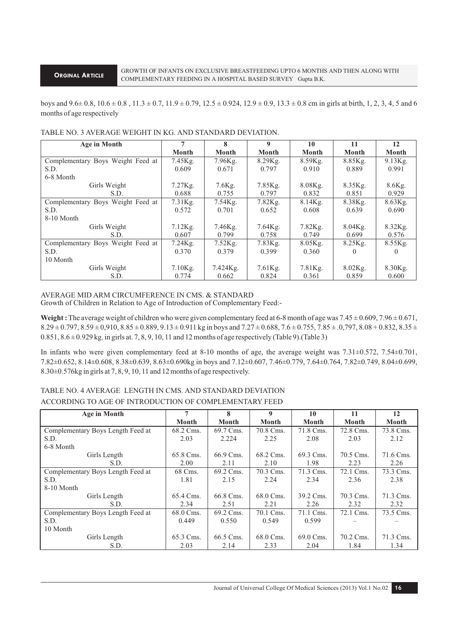#### **ORGINAL ARTICLE**

boys and  $9.6 \pm 0.8$ ,  $10.6 \pm 0.8$ ,  $11.3 \pm 0.7$ ,  $11.9 \pm 0.79$ ,  $12.5 \pm 0.924$ ,  $12.9 \pm 0.9$ ,  $13.3 \pm 0.8$  cm in girls at birth, 1, 2, 3, 4, 5 and 6 months of age respectively

| <b>Age in Month</b>               | 7          | 8            | 9          | 10           | 11         | 12           |
|-----------------------------------|------------|--------------|------------|--------------|------------|--------------|
|                                   | Month      | <b>Month</b> | Month      | <b>Month</b> | Month      | <b>Month</b> |
| Complementary Boys Weight Feed at | 7.45Kg.    | $7.96$ Kg.   | 8.29Kg.    | 8.59Kg.      | 8.85Kg.    | $9.13$ Kg.   |
| S.D.                              | 0.609      | 0.671        | 0.797      | 0.910        | 0.889      | 0.991        |
| 6-8 Month                         |            |              |            |              |            |              |
| Girls Weight                      | $7.27$ Kg. | $7.6$ Kg.    | $7.85$ Kg. | $8.08$ Kg.   | 8.35Kg.    | 8.6Kg.       |
| S.D.                              | 0.688      | 0.755        | 0.797      | 0.832        | 0.851      | 0.929        |
| Complementary Boys Weight Feed at | $7.31$ Kg. | $7.54$ Kg.   | $7.82$ Kg. | $8.14$ Kg.   | 8.38Kg.    | $8.63$ Kg.   |
| S.D.                              | 0.572      | 0.701        | 0.652      | 0.608        | 0.639      | 0.690        |
| 8-10 Month                        |            |              |            |              |            |              |
| Girls Weight                      | $7.12$ Kg. | 7.46Kg.      | $7.64$ Kg. | $7.82$ Kg.   | $8.04$ Kg. | 8.32Kg.      |
| S.D.                              | 0.607      | 0.799        | 0.758      | 0.749        | 0.699      | 0.576        |
| Complementary Boys Weight Feed at | $7.24$ Kg. | $7.52$ Kg.   | 7.83Kg.    | $8.05$ Kg.   | $8.25$ Kg. | 8.55Kg.      |
| S.D.                              | 0.370      | 0.379        | 0.399      | 0.360        | $\theta$   | 0            |
| 10 Month                          |            |              |            |              |            |              |
| Girls Weight                      | $7.10$ Kg. | 7.424Kg.     | $7.61$ Kg. | $7.81$ Kg.   | $8.02$ Kg. | 8.30Kg.      |
| S.D.                              | 0.774      | 0.662        | 0.824      | 0.361        | 0.859      | 0.600        |

# TABLE NO. 3 AVERAGE WEIGHT IN KG. AND STANDARD DEVIATION.

# AVERAGE MID ARM CIRCUMFERENCE IN CMS. & STANDARD

Growth of Children in Relation to Age of Introduction of Complementary Feed:-

**Weight :** The average weight of children who were given complementary feed at 6-8 month of age was 7.45 ± 0.609, 7.96 ± 0.671,  $8.29 \pm 0.797$ ,  $8.59 \pm 0.910$ ,  $8.85 \pm 0.889$ ,  $9.13 \pm 0.911$  kg in boys and  $7.27 \pm 0.688$ ,  $7.6 \pm 0.755$ ,  $7.85 \pm .0.797$ ,  $8.08 + 0.832$ ,  $8.35 \pm .0.797$  $0.851, 8.6 \pm 0.929$  kg. in girls at. 7, 8, 9, 10, 11 and 12 months of age respectively (Table 9). (Table 3)

In infants who were given complementary feed at 8-10 months of age, the average weight was  $7.31\pm0.572$ ,  $7.54\pm0.701$ , 7.82±0.652, 8.14±0.608, 8.38±0.639, 8.63±0.690kg in boys and 7.12±0.607, 7.46±0.779, 7.64±0.764, 7.82±0.749, 8.04±0.699, 8.30±0.576kg in girls at 7, 8, 9, 10, 11 and 12 months of age respectively.

# TABLE NO. 4 AVERAGE LENGTH IN CMS. AND STANDARD DEVIATION ACCORDING TO AGE OF INTRODUCTION OF COMPLEMENTARY FEED

| <b>Age in Month</b>               | 7         | 8            | 9            | 10           | 11           | 12           |
|-----------------------------------|-----------|--------------|--------------|--------------|--------------|--------------|
|                                   | Month     | <b>Month</b> | <b>Month</b> | <b>Month</b> | <b>Month</b> | <b>Month</b> |
| Complementary Boys Length Feed at | 68.2 Cms. | 69.7 Cms.    | 70.8 Cms.    | 71.8 Cms.    | 72.8 Cms.    | 73.8 Cms.    |
| S.D.                              | 2.03      | 2.224        | 2.25         | 2.08         | 2.03         | 2.12         |
| 6-8 Month                         |           |              |              |              |              |              |
| Girls Length                      | 65.8 Cms. | 66.9 Cms.    | 68.2 Cms.    | 69.3 Cms.    | 70.5 Cms.    | 71.6 Cms.    |
| S.D.                              | 2.00      | 2.11         | 2.10         | 1.98         | 2.23         | 2.26         |
| Complementary Boys Length Feed at | 68 Cms.   | 69.2 Cms.    | 70.3 Cms.    | 71.3 Cms.    | 72.1 Cms.    | 73.3 Cms.    |
| S.D.                              | 1.81      | 2.15         | 2.24         | 2.34         | 2.36         | 2.38         |
| 8-10 Month                        |           |              |              |              |              |              |
| Girls Length                      | 65.4 Cms. | 66.8 Cms.    | 68.0 Cms.    | 39.2 Cms.    | 70.3 Cms.    | 71.3 Cms.    |
| S.D.                              | 2.34      | 2.51         | 2.21         | 2.26         | 2.32         | 2.32         |
| Complementary Boys Length Feed at | 68.0 Cms. | 69.2 Cms.    | 70.1 Cms.    | 71.1 Cms.    | 72.1 Cms.    | 73.5 Cms.    |
| S.D.                              | 0.449     | 0.550        | 0.549        | 0.599        |              |              |
| 10 Month                          |           |              |              |              |              |              |
| Girls Length                      | 65.3 Cms. | 66.5 Cms.    | 68.0 Cms.    | 69.0 Cms.    | 70.2 Cms.    | 71.3 Cms.    |
| S.D.                              | 2.03      | 2.14         | 2.33         | 2.04         | 1.84         | 1.34         |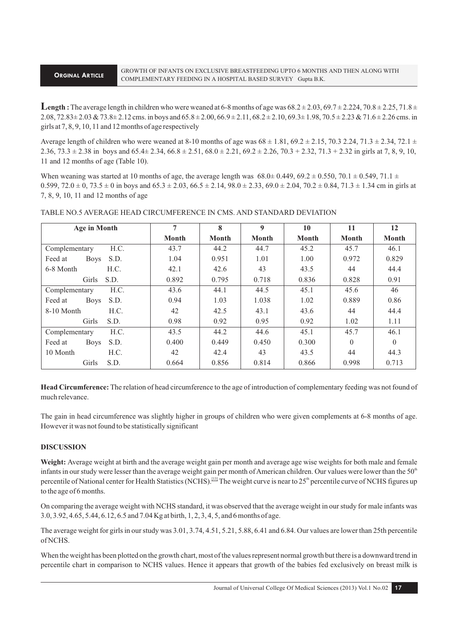## **ORGINAL ARTICLE**

**Length**: The average length in children who were weaned at 6-8 months of age was  $68.2 \pm 2.03$ ,  $69.7 \pm 2.224$ ,  $70.8 \pm 2.25$ ,  $71.8 \pm 2.25$  $2.08, 72.83 \pm 2.03 \& 73.8 \pm 2.12 \text{ cm}$ s. in boys and  $65.8 \pm 2.00, 66.9 \pm 2.11, 68.2 \pm 2.10, 69.3 \pm 1.98, 70.5 \pm 2.23 \& 71.6 \pm 2.26 \text{ cm}$ s. in girls at 7, 8, 9, 10, 11 and 12 months of age respectively

Average length of children who were weaned at 8-10 months of age was  $68 \pm 1.81$ ,  $69.2 \pm 2.15$ ,  $70.3$  2.24,  $71.3 \pm 2.34$ ,  $72.1 \pm 2.34$  $2.36, 73.3 \pm 2.38$  in boys and  $65.4 \pm 2.34, 66.8 \pm 2.51, 68.0 \pm 2.21, 69.2 \pm 2.26, 70.3 + 2.32, 71.3 + 2.32$  in girls at 7, 8, 9, 10, 11 and 12 months of age (Table 10).

When weaning was started at 10 months of age, the average length was  $68.0\pm 0.449$ ,  $69.2 \pm 0.550$ ,  $70.1 \pm 0.549$ ,  $71.1 \pm 0.549$ 0.599,  $72.0 \pm 0.73.5 \pm 0$  in boys and  $65.3 \pm 2.03$ ,  $66.5 \pm 2.14$ ,  $98.0 \pm 2.33$ ,  $69.0 \pm 2.04$ ,  $70.2 \pm 0.84$ ,  $71.3 \pm 1.34$  cm in girls at 7, 8, 9, 10, 11 and 12 months of age

| Age in Month                   | 7            | 8     | 9            | 10           | 11       | 12           |
|--------------------------------|--------------|-------|--------------|--------------|----------|--------------|
|                                | <b>Month</b> | Month | <b>Month</b> | <b>Month</b> | Month    | <b>Month</b> |
| H.C.<br>Complementary          | 43.7         | 44.2  | 44.7         | 45.2         | 45.7     | 46.1         |
| Feed at<br><b>Boys</b><br>S.D. | 1.04         | 0.951 | 1.01         | 1.00         | 0.972    | 0.829        |
| 6-8 Month<br>H.C.              | 42.1         | 42.6  | 43           | 43.5         | 44       | 44.4         |
| Girls<br>S.D.                  | 0.892        | 0.795 | 0.718        | 0.836        | 0.828    | 0.91         |
| H.C.<br>Complementary          | 43.6         | 44.1  | 44.5         | 45.1         | 45.6     | 46           |
| <b>Boys</b><br>S.D.<br>Feed at | 0.94         | 1.03  | 1.038        | 1.02         | 0.889    | 0.86         |
| 8-10 Month<br>H.C.             | 42           | 42.5  | 43.1         | 43.6         | 44       | 44.4         |
| Girls<br>S.D.                  | 0.98         | 0.92  | 0.95         | 0.92         | 1.02     | 1.11         |
| H.C.<br>Complementary          | 43.5         | 44.2  | 44.6         | 45.1         | 45.7     | 46.1         |
| S.D.<br>Feed at<br><b>Boys</b> | 0.400        | 0.449 | 0.450        | 0.300        | $\Omega$ | $\theta$     |
| 10 Month<br>H.C.               | 42           | 42.4  | 43           | 43.5         | 44       | 44.3         |
| Girls<br>S.D.                  | 0.664        | 0.856 | 0.814        | 0.866        | 0.998    | 0.713        |

TABLE NO.5 AVERAGE HEAD CIRCUMFERENCE IN CMS. AND STANDARD DEVIATION

**Head Circumference:** The relation of head circumference to the age of introduction of complementary feeding was not found of much relevance.

The gain in head circumference was slightly higher in groups of children who were given complements at 6-8 months of age. However it was not found to be statistically significant

# **DISCUSSION**

**Weight:** Average weight at birth and the average weight gain per month and average age wise weights for both male and female infants in our study were lesser than the average weight gain per month of American children. Our values were lower than the  $50<sup>th</sup>$ percentile of National center for Health Statistics (NCHS).<sup>[13]</sup> The weight curve is near to 25<sup>th</sup> percentile curve of NCHS figures up to the age of 6 months.

On comparing the average weight with NCHS standard, it was observed that the average weight in our study for male infants was 3.0, 3.92, 4.65, 5.44, 6.12, 6.5 and 7.04 Kg at birth, 1, 2, 3, 4, 5, and 6 months of age.

The average weight for girls in our study was 3.01, 3.74, 4.51, 5.21, 5.88, 6.41 and 6.84. Our values are lower than 25th percentile of NCHS.

When the weight has been plotted on the growth chart, most of the values represent normal growth but there is a downward trend in percentile chart in comparison to NCHS values. Hence it appears that growth of the babies fed exclusively on breast milk is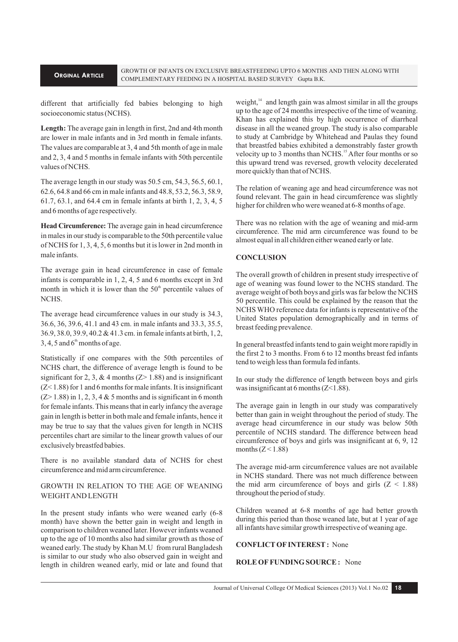different that artificially fed babies belonging to high socioeconomic status (NCHS).

**Length:** The average gain in length in first, 2nd and 4th month are lower in male infants and in 3rd month in female infants. The values are comparable at 3, 4 and 5th month of age in male and 2, 3, 4 and 5 months in female infants with 50th percentile values of NCHS.

The average length in our study was 50.5 cm, 54.3, 56.5, 60.1, 62.6, 64.8 and 66 cm in male infants and 48.8, 53.2, 56.3, 58.9, 61.7, 63.1, and 64.4 cm in female infants at birth 1, 2, 3, 4, 5 and 6 months of age respectively.

**Head Circumference:** The average gain in head circumference in males in our study is comparable to the 50th percentile value of NCHS for 1, 3, 4, 5, 6 months but it is lower in 2nd month in male infants.

The average gain in head circumference in case of female infants is comparable in 1, 2, 4, 5 and 6 months except in 3rd month in which it is lower than the  $50<sup>th</sup>$  percentile values of NCHS.

The average head circumference values in our study is 34.3, 36.6, 36, 39.6, 41.1 and 43 cm. in male infants and 33.3, 35.5, 36.9, 38.0, 39.9, 40.2 & 41.3 cm. in female infants at birth, 1, 2, 3, 4, 5 and  $6<sup>th</sup>$  months of age.

Statistically if one compares with the 50th percentiles of NCHS chart, the difference of average length is found to be significant for 2, 3, & 4 months  $(Z > 1.88)$  and is insignificant (Z< 1.88) for 1 and 6 months for male infants. It is insignificant  $(Z>1.88)$  in 1, 2, 3, 4 & 5 months and is significant in 6 month for female infants. This means that in early infancy the average gain in length is better in both male and female infants, hence it may be true to say that the values given for length in NCHS percentiles chart are similar to the linear growth values of our exclusively breastfed babies.

There is no available standard data of NCHS for chest circumference and mid arm circumference.

# GROWTH IN RELATION TO THE AGE OF WEANING WEIGHT AND LENGTH

In the present study infants who were weaned early (6-8 month) have shown the better gain in weight and length in comparison to children weaned later. However infants weaned up to the age of 10 months also had similar growth as those of weaned early. The study by Khan M.U from rural Bangladesh is similar to our study who also observed gain in weight and length in children weaned early, mid or late and found that

weight, $14$  and length gain was almost similar in all the groups up to the age of 24 months irrespective of the time of weaning. Khan has explained this by high occurrence of diarrheal disease in all the weaned group. The study is also comparable to study at Cambridge by Whitehead and Paulas they found that breastfed babies exhibited a demonstrably faster growth velocity up to 3 months than NCHS.<sup>15</sup> After four months or so this upward trend was reversed, growth velocity decelerated more quickly than that of NCHS.

The relation of weaning age and head circumference was not found relevant. The gain in head circumference was slightly higher for children who were weaned at 6-8 months of age.

There was no relation with the age of weaning and mid-arm circumference. The mid arm circumference was found to be almost equal in all children either weaned early or late.

#### **CONCLUSION**

The overall growth of children in present study irrespective of age of weaning was found lower to the NCHS standard. The average weight of both boys and girls was far below the NCHS 50 percentile. This could be explained by the reason that the NCHS WHO reference data for infants is representative of the United States population demographically and in terms of breast feeding prevalence.

In general breastfed infants tend to gain weight more rapidly in the first 2 to 3 months. From 6 to 12 months breast fed infants tend to weigh less than formula fed infants.

In our study the difference of length between boys and girls was insignificant at 6 months  $(Z<1.88)$ .

The average gain in length in our study was comparatively better than gain in weight throughout the period of study. The average head circumference in our study was below 50th percentile of NCHS standard. The difference between head circumference of boys and girls was insignificant at 6, 9, 12 months  $(Z < 1.88)$ 

The average mid-arm circumference values are not available in NCHS standard. There was not much difference between the mid arm circumference of boys and girls  $(Z < 1.88)$ throughout the period of study.

Children weaned at 6-8 months of age had better growth during this period than those weaned late, but at 1 year of age all infants have similar growth irrespective of weaning age.

#### **CONFLICT OF INTEREST :** None

## **ROLE OF FUNDING SOURCE :** None